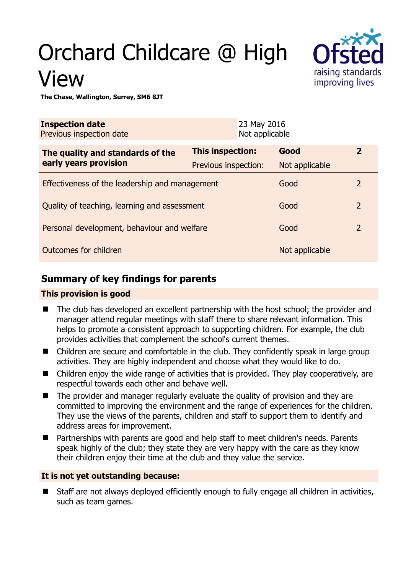# Orchard Childcare @ High View



**The Chase, Wallington, Surrey, SM6 8JT** 

| <b>Inspection date</b><br>Previous inspection date |                      | 23 May 2016<br>Not applicable |                |                |
|----------------------------------------------------|----------------------|-------------------------------|----------------|----------------|
| The quality and standards of the                   | This inspection:     |                               | Good           | $\overline{2}$ |
| early years provision                              | Previous inspection: |                               | Not applicable |                |
| Effectiveness of the leadership and management     |                      |                               | Good           | $\overline{2}$ |
| Quality of teaching, learning and assessment       |                      |                               | Good           | $\overline{2}$ |
| Personal development, behaviour and welfare        |                      |                               | Good           | $\overline{2}$ |
| Outcomes for children                              |                      |                               | Not applicable |                |

# **Summary of key findings for parents**

## **This provision is good**

- The club has developed an excellent partnership with the host school; the provider and manager attend regular meetings with staff there to share relevant information. This helps to promote a consistent approach to supporting children. For example, the club provides activities that complement the school's current themes.
- Children are secure and comfortable in the club. They confidently speak in large group activities. They are highly independent and choose what they would like to do.
- Children enjoy the wide range of activities that is provided. They play cooperatively, are respectful towards each other and behave well.
- The provider and manager regularly evaluate the quality of provision and they are committed to improving the environment and the range of experiences for the children. They use the views of the parents, children and staff to support them to identify and address areas for improvement.
- Partnerships with parents are good and help staff to meet children's needs. Parents speak highly of the club; they state they are very happy with the care as they know their children enjoy their time at the club and they value the service.

## **It is not yet outstanding because:**

 Staff are not always deployed efficiently enough to fully engage all children in activities, such as team games.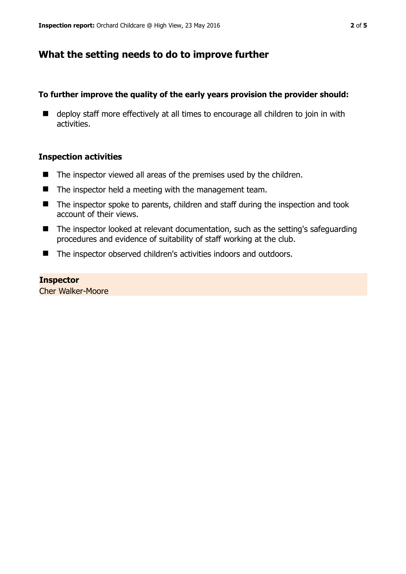# **What the setting needs to do to improve further**

## **To further improve the quality of the early years provision the provider should:**

■ deploy staff more effectively at all times to encourage all children to join in with activities.

## **Inspection activities**

- $\blacksquare$  The inspector viewed all areas of the premises used by the children.
- $\blacksquare$  The inspector held a meeting with the management team.
- The inspector spoke to parents, children and staff during the inspection and took account of their views.
- The inspector looked at relevant documentation, such as the setting's safeguarding procedures and evidence of suitability of staff working at the club.
- The inspector observed children's activities indoors and outdoors.

# **Inspector**

Cher Walker-Moore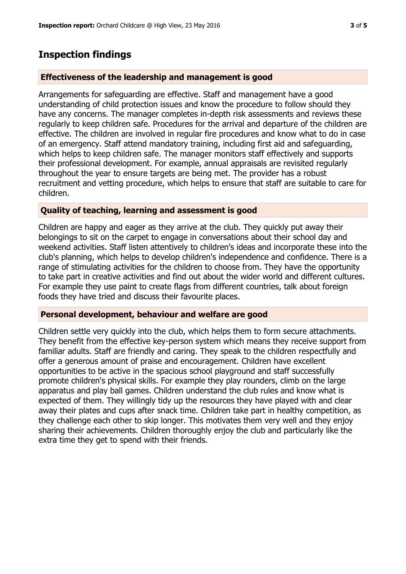## **Inspection findings**

### **Effectiveness of the leadership and management is good**

Arrangements for safeguarding are effective. Staff and management have a good understanding of child protection issues and know the procedure to follow should they have any concerns. The manager completes in-depth risk assessments and reviews these regularly to keep children safe. Procedures for the arrival and departure of the children are effective. The children are involved in regular fire procedures and know what to do in case of an emergency. Staff attend mandatory training, including first aid and safeguarding, which helps to keep children safe. The manager monitors staff effectively and supports their professional development. For example, annual appraisals are revisited regularly throughout the year to ensure targets are being met. The provider has a robust recruitment and vetting procedure, which helps to ensure that staff are suitable to care for children.

## **Quality of teaching, learning and assessment is good**

Children are happy and eager as they arrive at the club. They quickly put away their belongings to sit on the carpet to engage in conversations about their school day and weekend activities. Staff listen attentively to children's ideas and incorporate these into the club's planning, which helps to develop children's independence and confidence. There is a range of stimulating activities for the children to choose from. They have the opportunity to take part in creative activities and find out about the wider world and different cultures. For example they use paint to create flags from different countries, talk about foreign foods they have tried and discuss their favourite places.

### **Personal development, behaviour and welfare are good**

Children settle very quickly into the club, which helps them to form secure attachments. They benefit from the effective key-person system which means they receive support from familiar adults. Staff are friendly and caring. They speak to the children respectfully and offer a generous amount of praise and encouragement. Children have excellent opportunities to be active in the spacious school playground and staff successfully promote children's physical skills. For example they play rounders, climb on the large apparatus and play ball games. Children understand the club rules and know what is expected of them. They willingly tidy up the resources they have played with and clear away their plates and cups after snack time. Children take part in healthy competition, as they challenge each other to skip longer. This motivates them very well and they enjoy sharing their achievements. Children thoroughly enjoy the club and particularly like the extra time they get to spend with their friends.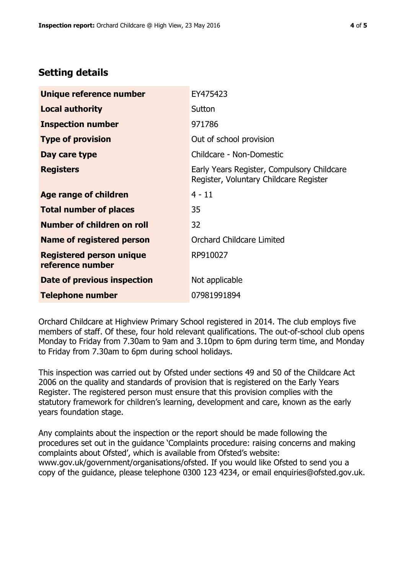# **Setting details**

| Unique reference number                             | EY475423                                                                             |  |
|-----------------------------------------------------|--------------------------------------------------------------------------------------|--|
| <b>Local authority</b>                              | Sutton                                                                               |  |
| <b>Inspection number</b>                            | 971786                                                                               |  |
| <b>Type of provision</b>                            | Out of school provision                                                              |  |
| Day care type                                       | Childcare - Non-Domestic                                                             |  |
| <b>Registers</b>                                    | Early Years Register, Compulsory Childcare<br>Register, Voluntary Childcare Register |  |
| Age range of children                               | $4 - 11$                                                                             |  |
| <b>Total number of places</b>                       | 35                                                                                   |  |
| Number of children on roll                          | 32                                                                                   |  |
| <b>Name of registered person</b>                    | <b>Orchard Childcare Limited</b>                                                     |  |
| <b>Registered person unique</b><br>reference number | RP910027                                                                             |  |
| Date of previous inspection                         | Not applicable                                                                       |  |
| <b>Telephone number</b>                             | 07981991894                                                                          |  |

Orchard Childcare at Highview Primary School registered in 2014. The club employs five members of staff. Of these, four hold relevant qualifications. The out-of-school club opens Monday to Friday from 7.30am to 9am and 3.10pm to 6pm during term time, and Monday to Friday from 7.30am to 6pm during school holidays.

This inspection was carried out by Ofsted under sections 49 and 50 of the Childcare Act 2006 on the quality and standards of provision that is registered on the Early Years Register. The registered person must ensure that this provision complies with the statutory framework for children's learning, development and care, known as the early years foundation stage.

Any complaints about the inspection or the report should be made following the procedures set out in the guidance 'Complaints procedure: raising concerns and making complaints about Ofsted', which is available from Ofsted's website: www.gov.uk/government/organisations/ofsted. If you would like Ofsted to send you a copy of the guidance, please telephone 0300 123 4234, or email enquiries@ofsted.gov.uk.